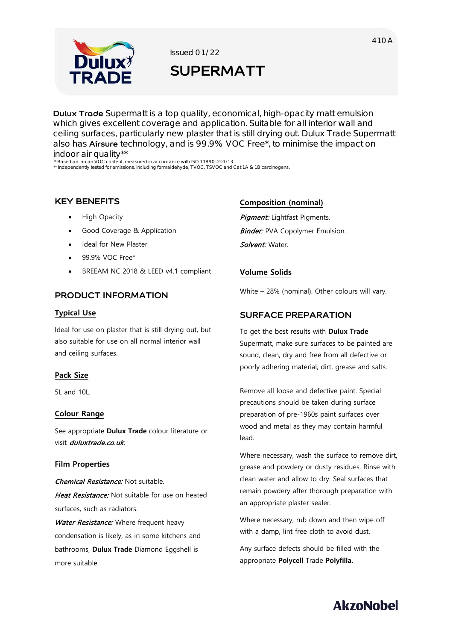

Issued 01/22

# **SUPERMATT**

**Dulux Trade** Supermatt is a top quality, economical, high-opacity matt emulsion which gives excellent coverage and application. Suitable for all interior wall and ceiling surfaces, particularly new plaster that is still drying out. Dulux Trade Supermatt also has **Airsure** technology, and is 99.9% VOC Free\*, to minimise the impact on indoor air quality\*\*

\* Based on in-can VOC content, measured in accordance with ISO 11890-2:2013. \*\* Independently tested for emissions, including formaldehyde, TVOC, TSVOC and Cat 1A & 1B carcinogens.

## **KEY BENEFITS**

- High Opacity
- Good Coverage & Application
- Ideal for New Plaster
- 99.9% VOC Free\*
- BREEAM NC 2018 & LEED v4.1 compliant

## **PRODUCT INFORMATION**

#### **Typical Use**

Ideal for use on plaster that is still drying out, but also suitable for use on all normal interior wall and ceiling surfaces.

#### **Pack Size**

 $5$ Land  $10$ L.

#### **Colour Range**

See appropriate **Dulux Trade** colour literature or visit *duluxtrade.co.uk.* 

#### **Film Properties**

Chemical Resistance: Not suitable. Heat Resistance: Not suitable for use on heated surfaces, such as radiators.

Water Resistance: Where frequent heavy condensation is likely, as in some kitchens and bathrooms, **Dulux Trade** Diamond Eggshell is more suitable.

#### **Composition (nominal)**

Pigment: Lightfast Pigments. **Binder:** PVA Copolymer Emulsion. Solvent: Water.

#### **Volume Solids**

White – 28% (nominal). Other colours will vary.

#### **SURFACE PREPARATION**

To get the best results with **Dulux Trade** Supermatt, make sure surfaces to be painted are sound, clean, dry and free from all defective or poorly adhering material, dirt, grease and salts.

Remove all loose and defective paint. Special precautions should be taken during surface preparation of pre-1960s paint surfaces over wood and metal as they may contain harmful lead.

Where necessary, wash the surface to remove dirt, grease and powdery or dusty residues. Rinse with clean water and allow to dry. Seal surfaces that remain powdery after thorough preparation with an appropriate plaster sealer.

Where necessary, rub down and then wipe off with a damp, lint free cloth to avoid dust.

Any surface defects should be filled with the appropriate **Polycell** Trade **Polyfilla.**

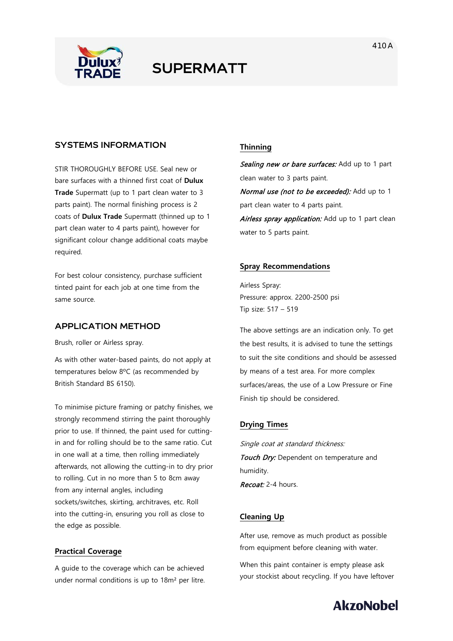

## **SUPERMATT**

### **SYSTEMS INFORMATION**

STIR THOROUGHLY BEFORE USE. Seal new or bare surfaces with a thinned first coat of **Dulux Trade** Supermatt (up to 1 part clean water to 3 parts paint). The normal finishing process is 2 coats of **Dulux Trade** Supermatt (thinned up to 1 part clean water to 4 parts paint), however for significant colour change additional coats maybe required.

For best colour consistency, purchase sufficient tinted paint for each job at one time from the same source.

## **APPLICATION METHOD**

Brush, roller or Airless spray.

As with other water-based paints, do not apply at temperatures below 8ºC (as recommended by British Standard BS 6150).

To minimise picture framing or patchy finishes, we strongly recommend stirring the paint thoroughly prior to use. If thinned, the paint used for cuttingin and for rolling should be to the same ratio. Cut in one wall at a time, then rolling immediately afterwards, not allowing the cutting-in to dry prior to rolling. Cut in no more than 5 to 8cm away from any internal angles, including sockets/switches, skirting, architraves, etc. Roll into the cutting-in, ensuring you roll as close to the edge as possible.

#### **Practical Coverage**

A guide to the coverage which can be achieved under normal conditions is up to 18m² per litre.

## **Thinning**

Sealing new or bare surfaces: Add up to 1 part clean water to 3 parts paint.

Normal use (not to be exceeded): Add up to 1 part clean water to 4 parts paint.

Airless spray application: Add up to 1 part clean water to 5 parts paint.

#### **Spray Recommendations**

Airless Spray: Pressure: approx. 2200-2500 psi Tip size: 517 – 519

The above settings are an indication only. To get the best results, it is advised to tune the settings to suit the site conditions and should be assessed by means of a test area. For more complex surfaces/areas, the use of a Low Pressure or Fine Finish tip should be considered.

#### **Drying Times**

Single coat at standard thickness: Touch Dry: Dependent on temperature and humidity. Recoat: 2-4 hours.

#### **Cleaning Up**

After use, remove as much product as possible from equipment before cleaning with water.

When this paint container is empty please ask your stockist about recycling. If you have leftover